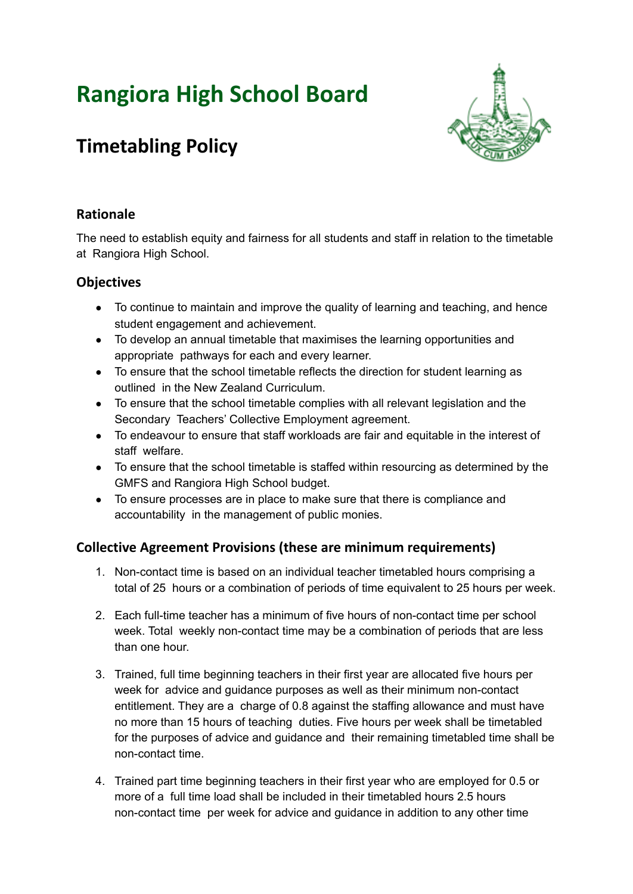# **Rangiora High School Board**



# **Timetabling Policy**

# **Rationale**

The need to establish equity and fairness for all students and staff in relation to the timetable at Rangiora High School.

# **Objectives**

- To continue to maintain and improve the quality of learning and teaching, and hence student engagement and achievement.
- To develop an annual timetable that maximises the learning opportunities and appropriate pathways for each and every learner.
- To ensure that the school timetable reflects the direction for student learning as outlined in the New Zealand Curriculum.
- To ensure that the school timetable complies with all relevant legislation and the Secondary Teachers' Collective Employment agreement.
- To endeavour to ensure that staff workloads are fair and equitable in the interest of staff welfare.
- To ensure that the school timetable is staffed within resourcing as determined by the GMFS and Rangiora High School budget.
- To ensure processes are in place to make sure that there is compliance and accountability in the management of public monies.

# **Collective Agreement Provisions (these are minimum requirements)**

- 1. Non-contact time is based on an individual teacher timetabled hours comprising a total of 25 hours or a combination of periods of time equivalent to 25 hours per week.
- 2. Each full-time teacher has a minimum of five hours of non-contact time per school week. Total weekly non-contact time may be a combination of periods that are less than one hour.
- 3. Trained, full time beginning teachers in their first year are allocated five hours per week for advice and guidance purposes as well as their minimum non-contact entitlement. They are a charge of 0.8 against the staffing allowance and must have no more than 15 hours of teaching duties. Five hours per week shall be timetabled for the purposes of advice and guidance and their remaining timetabled time shall be non-contact time.
- 4. Trained part time beginning teachers in their first year who are employed for 0.5 or more of a full time load shall be included in their timetabled hours 2.5 hours non-contact time per week for advice and guidance in addition to any other time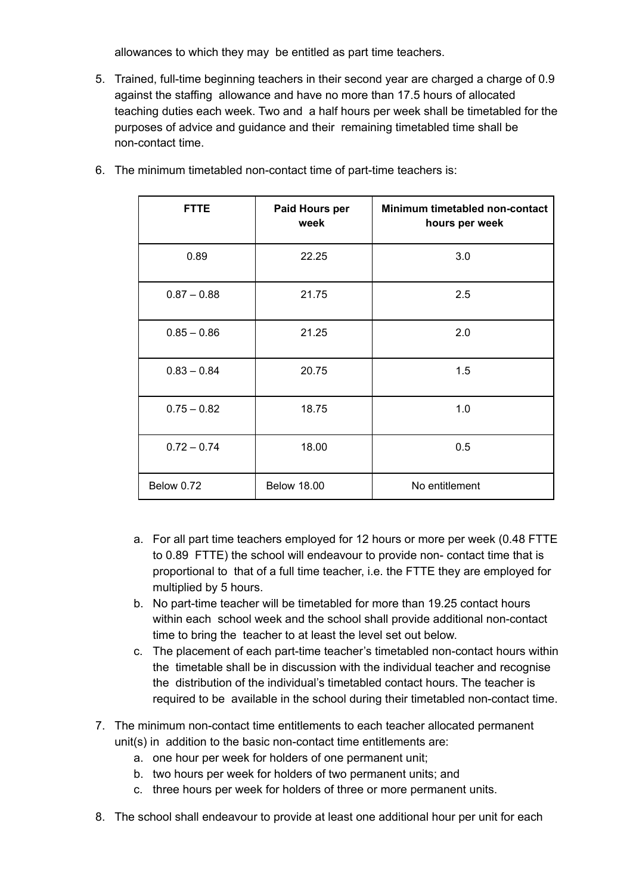allowances to which they may be entitled as part time teachers.

5. Trained, full-time beginning teachers in their second year are charged a charge of 0.9 against the staffing allowance and have no more than 17.5 hours of allocated teaching duties each week. Two and a half hours per week shall be timetabled for the purposes of advice and guidance and their remaining timetabled time shall be non-contact time.

| <b>FTTE</b>       | Paid Hours per<br>week | Minimum timetabled non-contact<br>hours per week |
|-------------------|------------------------|--------------------------------------------------|
| 0.89              | 22.25                  | 3.0                                              |
| $0.87 - 0.88$     | 21.75                  | 2.5                                              |
| $0.85 - 0.86$     | 21.25                  | 2.0                                              |
| $0.83 - 0.84$     | 20.75                  | 1.5                                              |
| $0.75 - 0.82$     | 18.75                  | 1.0                                              |
| $0.72 - 0.74$     | 18.00                  | 0.5                                              |
| <b>Below 0.72</b> | <b>Below 18.00</b>     | No entitlement                                   |

6. The minimum timetabled non-contact time of part-time teachers is:

- a. For all part time teachers employed for 12 hours or more per week (0.48 FTTE to 0.89 FTTE) the school will endeavour to provide non- contact time that is proportional to that of a full time teacher, i.e. the FTTE they are employed for multiplied by 5 hours.
- b. No part-time teacher will be timetabled for more than 19.25 contact hours within each school week and the school shall provide additional non-contact time to bring the teacher to at least the level set out below.
- c. The placement of each part-time teacher's timetabled non-contact hours within the timetable shall be in discussion with the individual teacher and recognise the distribution of the individual's timetabled contact hours. The teacher is required to be available in the school during their timetabled non-contact time.
- 7. The minimum non-contact time entitlements to each teacher allocated permanent unit(s) in addition to the basic non-contact time entitlements are:
	- a. one hour per week for holders of one permanent unit;
	- b. two hours per week for holders of two permanent units; and
	- c. three hours per week for holders of three or more permanent units.
- 8. The school shall endeavour to provide at least one additional hour per unit for each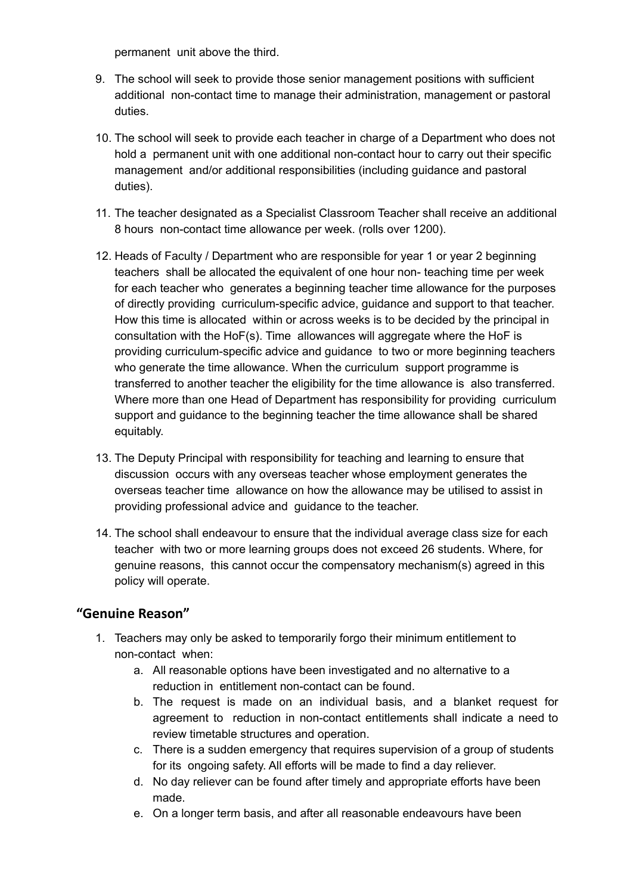permanent unit above the third.

- 9. The school will seek to provide those senior management positions with sufficient additional non-contact time to manage their administration, management or pastoral duties.
- 10. The school will seek to provide each teacher in charge of a Department who does not hold a permanent unit with one additional non-contact hour to carry out their specific management and/or additional responsibilities (including guidance and pastoral duties).
- 11. The teacher designated as a Specialist Classroom Teacher shall receive an additional 8 hours non-contact time allowance per week. (rolls over 1200).
- 12. Heads of Faculty / Department who are responsible for year 1 or year 2 beginning teachers shall be allocated the equivalent of one hour non- teaching time per week for each teacher who generates a beginning teacher time allowance for the purposes of directly providing curriculum-specific advice, guidance and support to that teacher. How this time is allocated within or across weeks is to be decided by the principal in consultation with the HoF(s). Time allowances will aggregate where the HoF is providing curriculum-specific advice and guidance to two or more beginning teachers who generate the time allowance. When the curriculum support programme is transferred to another teacher the eligibility for the time allowance is also transferred. Where more than one Head of Department has responsibility for providing curriculum support and guidance to the beginning teacher the time allowance shall be shared equitably.
- 13. The Deputy Principal with responsibility for teaching and learning to ensure that discussion occurs with any overseas teacher whose employment generates the overseas teacher time allowance on how the allowance may be utilised to assist in providing professional advice and guidance to the teacher.
- 14. The school shall endeavour to ensure that the individual average class size for each teacher with two or more learning groups does not exceed 26 students. Where, for genuine reasons, this cannot occur the compensatory mechanism(s) agreed in this policy will operate.

#### **"Genuine Reason"**

- 1. Teachers may only be asked to temporarily forgo their minimum entitlement to non-contact when:
	- a. All reasonable options have been investigated and no alternative to a reduction in entitlement non-contact can be found.
	- b. The request is made on an individual basis, and a blanket request for agreement to reduction in non-contact entitlements shall indicate a need to review timetable structures and operation.
	- c. There is a sudden emergency that requires supervision of a group of students for its ongoing safety. All efforts will be made to find a day reliever.
	- d. No day reliever can be found after timely and appropriate efforts have been made.
	- e. On a longer term basis, and after all reasonable endeavours have been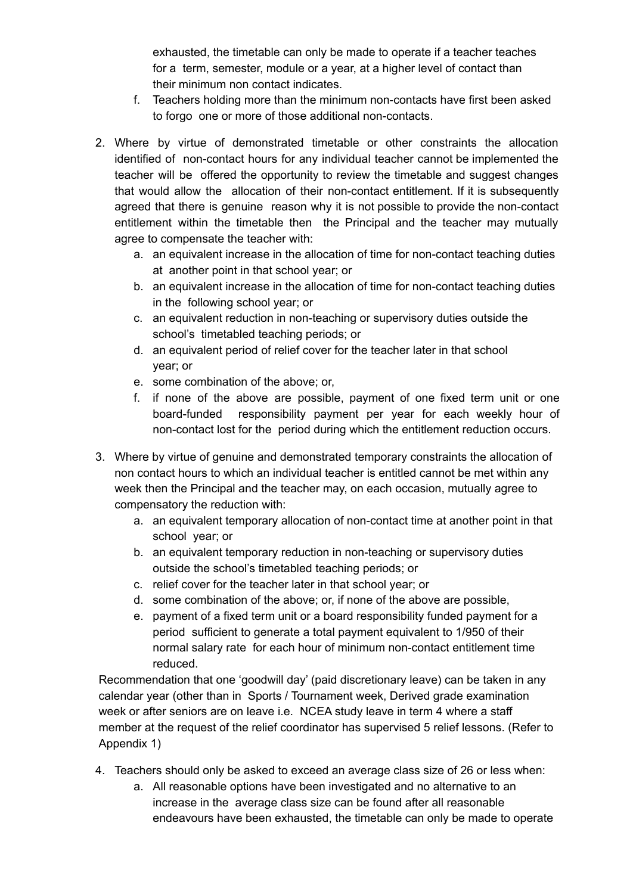exhausted, the timetable can only be made to operate if a teacher teaches for a term, semester, module or a year, at a higher level of contact than their minimum non contact indicates.

- f. Teachers holding more than the minimum non-contacts have first been asked to forgo one or more of those additional non-contacts.
- 2. Where by virtue of demonstrated timetable or other constraints the allocation identified of non-contact hours for any individual teacher cannot be implemented the teacher will be offered the opportunity to review the timetable and suggest changes that would allow the allocation of their non-contact entitlement. If it is subsequently agreed that there is genuine reason why it is not possible to provide the non-contact entitlement within the timetable then the Principal and the teacher may mutually agree to compensate the teacher with:
	- a. an equivalent increase in the allocation of time for non-contact teaching duties at another point in that school year; or
	- b. an equivalent increase in the allocation of time for non-contact teaching duties in the following school year; or
	- c. an equivalent reduction in non-teaching or supervisory duties outside the school's timetabled teaching periods; or
	- d. an equivalent period of relief cover for the teacher later in that school year; or
	- e. some combination of the above; or,
	- f. if none of the above are possible, payment of one fixed term unit or one board-funded responsibility payment per year for each weekly hour of non-contact lost for the period during which the entitlement reduction occurs.
- 3. Where by virtue of genuine and demonstrated temporary constraints the allocation of non contact hours to which an individual teacher is entitled cannot be met within any week then the Principal and the teacher may, on each occasion, mutually agree to compensatory the reduction with:
	- a. an equivalent temporary allocation of non-contact time at another point in that school year; or
	- b. an equivalent temporary reduction in non-teaching or supervisory duties outside the school's timetabled teaching periods; or
	- c. relief cover for the teacher later in that school year; or
	- d. some combination of the above; or, if none of the above are possible,
	- e. payment of a fixed term unit or a board responsibility funded payment for a period sufficient to generate a total payment equivalent to 1/950 of their normal salary rate for each hour of minimum non-contact entitlement time reduced.

Recommendation that one 'goodwill day' (paid discretionary leave) can be taken in any calendar year (other than in Sports / Tournament week, Derived grade examination week or after seniors are on leave i.e. NCEA study leave in term 4 where a staff member at the request of the relief coordinator has supervised 5 relief lessons. (Refer to Appendix 1)

- 4. Teachers should only be asked to exceed an average class size of 26 or less when:
	- a. All reasonable options have been investigated and no alternative to an increase in the average class size can be found after all reasonable endeavours have been exhausted, the timetable can only be made to operate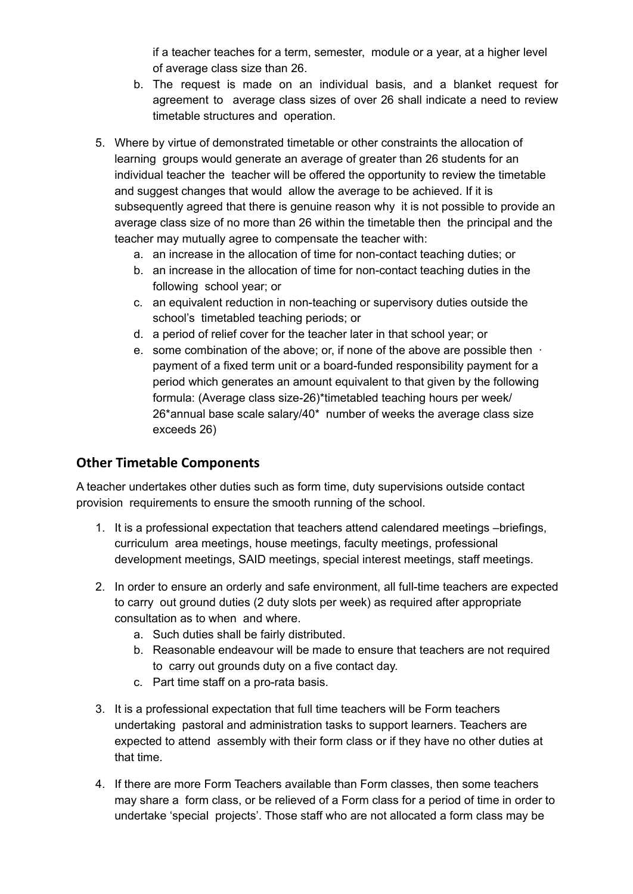if a teacher teaches for a term, semester, module or a year, at a higher level of average class size than 26.

- b. The request is made on an individual basis, and a blanket request for agreement to average class sizes of over 26 shall indicate a need to review timetable structures and operation.
- 5. Where by virtue of demonstrated timetable or other constraints the allocation of learning groups would generate an average of greater than 26 students for an individual teacher the teacher will be offered the opportunity to review the timetable and suggest changes that would allow the average to be achieved. If it is subsequently agreed that there is genuine reason why it is not possible to provide an average class size of no more than 26 within the timetable then the principal and the teacher may mutually agree to compensate the teacher with:
	- a. an increase in the allocation of time for non-contact teaching duties; or
	- b. an increase in the allocation of time for non-contact teaching duties in the following school year; or
	- c. an equivalent reduction in non-teaching or supervisory duties outside the school's timetabled teaching periods; or
	- d. a period of relief cover for the teacher later in that school year; or
	- e. some combination of the above; or, if none of the above are possible then ⋅ payment of a fixed term unit or a board-funded responsibility payment for a period which generates an amount equivalent to that given by the following formula: (Average class size-26)\*timetabled teaching hours per week/ 26\*annual base scale salary/40\* number of weeks the average class size exceeds 26)

#### **Other Timetable Components**

A teacher undertakes other duties such as form time, duty supervisions outside contact provision requirements to ensure the smooth running of the school.

- 1. It is a professional expectation that teachers attend calendared meetings –briefings, curriculum area meetings, house meetings, faculty meetings, professional development meetings, SAID meetings, special interest meetings, staff meetings.
- 2. In order to ensure an orderly and safe environment, all full-time teachers are expected to carry out ground duties (2 duty slots per week) as required after appropriate consultation as to when and where.
	- a. Such duties shall be fairly distributed.
	- b. Reasonable endeavour will be made to ensure that teachers are not required to carry out grounds duty on a five contact day.
	- c. Part time staff on a pro-rata basis.
- 3. It is a professional expectation that full time teachers will be Form teachers undertaking pastoral and administration tasks to support learners. Teachers are expected to attend assembly with their form class or if they have no other duties at that time.
- 4. If there are more Form Teachers available than Form classes, then some teachers may share a form class, or be relieved of a Form class for a period of time in order to undertake 'special projects'. Those staff who are not allocated a form class may be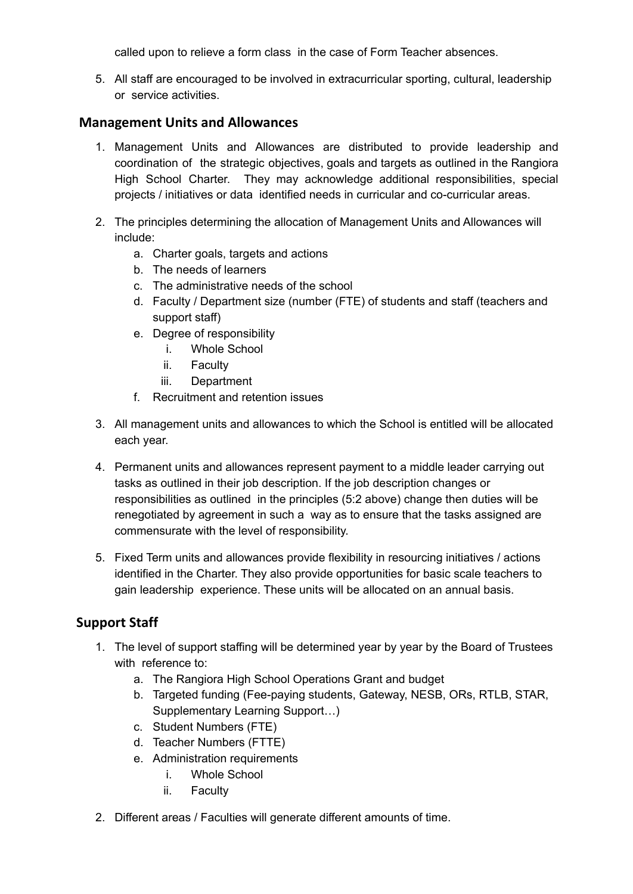called upon to relieve a form class in the case of Form Teacher absences.

5. All staff are encouraged to be involved in extracurricular sporting, cultural, leadership or service activities.

#### **Management Units and Allowances**

- 1. Management Units and Allowances are distributed to provide leadership and coordination of the strategic objectives, goals and targets as outlined in the Rangiora High School Charter. They may acknowledge additional responsibilities, special projects / initiatives or data identified needs in curricular and co-curricular areas.
- 2. The principles determining the allocation of Management Units and Allowances will include:
	- a. Charter goals, targets and actions
	- b. The needs of learners
	- c. The administrative needs of the school
	- d. Faculty / Department size (number (FTE) of students and staff (teachers and support staff)
	- e. Degree of responsibility
		- i. Whole School
		- ii. Faculty
		- iii. Department
	- f. Recruitment and retention issues
- 3. All management units and allowances to which the School is entitled will be allocated each year.
- 4. Permanent units and allowances represent payment to a middle leader carrying out tasks as outlined in their job description. If the job description changes or responsibilities as outlined in the principles (5:2 above) change then duties will be renegotiated by agreement in such a way as to ensure that the tasks assigned are commensurate with the level of responsibility.
- 5. Fixed Term units and allowances provide flexibility in resourcing initiatives / actions identified in the Charter. They also provide opportunities for basic scale teachers to gain leadership experience. These units will be allocated on an annual basis.

# **Support Staff**

- 1. The level of support staffing will be determined year by year by the Board of Trustees with reference to:
	- a. The Rangiora High School Operations Grant and budget
	- b. Targeted funding (Fee-paying students, Gateway, NESB, ORs, RTLB, STAR, Supplementary Learning Support…)
	- c. Student Numbers (FTE)
	- d. Teacher Numbers (FTTE)
	- e. Administration requirements
		- i. Whole School
		- ii. Faculty
- 2. Different areas / Faculties will generate different amounts of time.